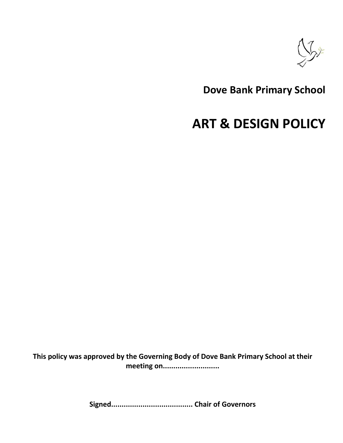

## **Dove Bank Primary School**

# **ART & DESIGN POLICY**

**This policy was approved by the Governing Body of Dove Bank Primary School at their meeting on...........................**

**Signed....................................... Chair of Governors**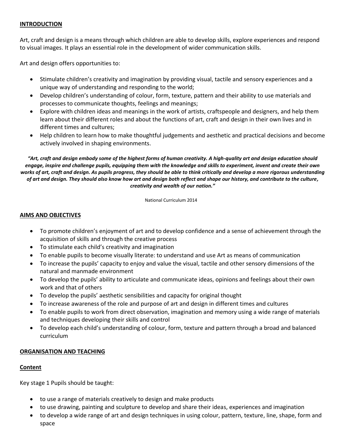### **INTRODUCTION**

Art, craft and design is a means through which children are able to develop skills, explore experiences and respond to visual images. It plays an essential role in the development of wider communication skills.

Art and design offers opportunities to:

- Stimulate children's creativity and imagination by providing visual, tactile and sensory experiences and a unique way of understanding and responding to the world;
- Develop children's understanding of colour, form, texture, pattern and their ability to use materials and processes to communicate thoughts, feelings and meanings;
- Explore with children ideas and meanings in the work of artists, craftspeople and designers, and help them learn about their different roles and about the functions of art, craft and design in their own lives and in different times and cultures;
- Help children to learn how to make thoughtful judgements and aesthetic and practical decisions and become actively involved in shaping environments.

*"Art, craft and design embody some of the highest forms of human creativity. A high-quality art and design education should engage, inspire and challenge pupils, equipping them with the knowledge and skills to experiment, invent and create their own works of art, craft and design. As pupils progress, they should be able to think critically and develop a more rigorous understanding of art and design. They should also know how art and design both reflect and shape our history, and contribute to the culture, creativity and wealth of our nation."*

National Curriculum 2014

#### **AIMS AND OBJECTIVES**

- To promote children's enjoyment of art and to develop confidence and a sense of achievement through the acquisition of skills and through the creative process
- To stimulate each child's creativity and imagination
- To enable pupils to become visually literate: to understand and use Art as means of communication
- To increase the pupils' capacity to enjoy and value the visual, tactile and other sensory dimensions of the natural and manmade environment
- To develop the pupils' ability to articulate and communicate ideas, opinions and feelings about their own work and that of others
- To develop the pupils' aesthetic sensibilities and capacity for original thought
- To increase awareness of the role and purpose of art and design in different times and cultures
- To enable pupils to work from direct observation, imagination and memory using a wide range of materials and techniques developing their skills and control
- To develop each child's understanding of colour, form, texture and pattern through a broad and balanced curriculum

#### **ORGANISATION AND TEACHING**

#### **Content**

Key stage 1 Pupils should be taught:

- to use a range of materials creatively to design and make products
- to use drawing, painting and sculpture to develop and share their ideas, experiences and imagination
- to develop a wide range of art and design techniques in using colour, pattern, texture, line, shape, form and space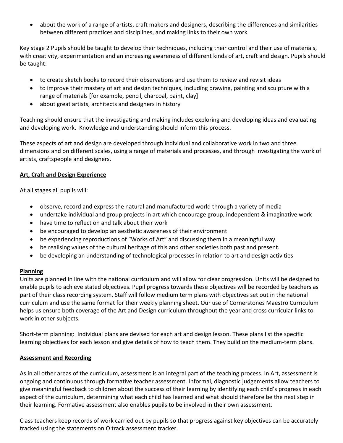about the work of a range of artists, craft makers and designers, describing the differences and similarities between different practices and disciplines, and making links to their own work

Key stage 2 Pupils should be taught to develop their techniques, including their control and their use of materials, with creativity, experimentation and an increasing awareness of different kinds of art, craft and design. Pupils should be taught:

- to create sketch books to record their observations and use them to review and revisit ideas
- to improve their mastery of art and design techniques, including drawing, painting and sculpture with a range of materials [for example, pencil, charcoal, paint, clay]
- about great artists, architects and designers in history

Teaching should ensure that the investigating and making includes exploring and developing ideas and evaluating and developing work. Knowledge and understanding should inform this process.

These aspects of art and design are developed through individual and collaborative work in two and three dimensions and on different scales, using a range of materials and processes, and through investigating the work of artists, craftspeople and designers.

### **Art, Craft and Design Experience**

At all stages all pupils will:

- observe, record and express the natural and manufactured world through a variety of media
- undertake individual and group projects in art which encourage group, independent & imaginative work
- have time to reflect on and talk about their work
- be encouraged to develop an aesthetic awareness of their environment
- be experiencing reproductions of "Works of Art" and discussing them in a meaningful way
- be realising values of the cultural heritage of this and other societies both past and present.
- be developing an understanding of technological processes in relation to art and design activities

### **Planning**

Units are planned in line with the national curriculum and will allow for clear progression. Units will be designed to enable pupils to achieve stated objectives. Pupil progress towards these objectives will be recorded by teachers as part of their class recording system. Staff will follow medium term plans with objectives set out in the national curriculum and use the same format for their weekly planning sheet. Our use of Cornerstones Maestro Curriculum helps us ensure both coverage of the Art and Design curriculum throughout the year and cross curricular links to work in other subjects.

Short-term planning: Individual plans are devised for each art and design lesson. These plans list the specific learning objectives for each lesson and give details of how to teach them. They build on the medium-term plans.

### **Assessment and Recording**

As in all other areas of the curriculum, assessment is an integral part of the teaching process. In Art, assessment is ongoing and continuous through formative teacher assessment. Informal, diagnostic judgements allow teachers to give meaningful feedback to children about the success of their learning by identifying each child's progress in each aspect of the curriculum, determining what each child has learned and what should therefore be the next step in their learning. Formative assessment also enables pupils to be involved in their own assessment.

Class teachers keep records of work carried out by pupils so that progress against key objectives can be accurately tracked using the statements on O track assessment tracker.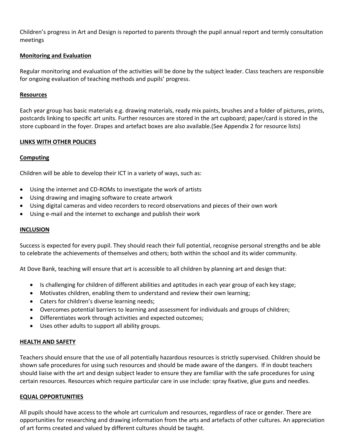Children's progress in Art and Design is reported to parents through the pupil annual report and termly consultation meetings

### **Monitoring and Evaluation**

Regular monitoring and evaluation of the activities will be done by the subject leader. Class teachers are responsible for ongoing evaluation of teaching methods and pupils' progress.

#### **Resources**

Each year group has basic materials e.g. drawing materials, ready mix paints, brushes and a folder of pictures, prints, postcards linking to specific art units. Further resources are stored in the art cupboard; paper/card is stored in the store cupboard in the foyer. Drapes and artefact boxes are also available.(See Appendix 2 for resource lists)

#### **LINKS WITH OTHER POLICIES**

#### **Computing**

Children will be able to develop their ICT in a variety of ways, such as:

- Using the internet and CD-ROMs to investigate the work of artists
- Using drawing and imaging software to create artwork
- Using digital cameras and video recorders to record observations and pieces of their own work
- Using e-mail and the internet to exchange and publish their work

#### **INCLUSION**

Success is expected for every pupil. They should reach their full potential, recognise personal strengths and be able to celebrate the achievements of themselves and others; both within the school and its wider community.

At Dove Bank, teaching will ensure that art is accessible to all children by planning art and design that:

- Is challenging for children of different abilities and aptitudes in each year group of each key stage;
- Motivates children, enabling them to understand and review their own learning;
- Caters for children's diverse learning needs;
- Overcomes potential barriers to learning and assessment for individuals and groups of children;
- Differentiates work through activities and expected outcomes;
- Uses other adults to support all ability groups.

#### **HEALTH AND SAFETY**

Teachers should ensure that the use of all potentially hazardous resources is strictly supervised. Children should be shown safe procedures for using such resources and should be made aware of the dangers. If in doubt teachers should liaise with the art and design subject leader to ensure they are familiar with the safe procedures for using certain resources. Resources which require particular care in use include: spray fixative, glue guns and needles.

#### **EQUAL OPPORTUNITIES**

All pupils should have access to the whole art curriculum and resources, regardless of race or gender. There are opportunities for researching and drawing information from the arts and artefacts of other cultures. An appreciation of art forms created and valued by different cultures should be taught.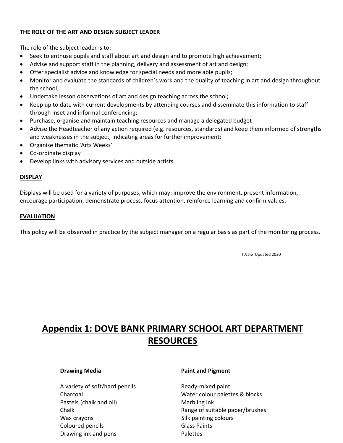### **THE ROLE OF THE ART AND DESIGN SUBJECT LEADER**

The role of the subject leader is to:

- Seek to enthuse pupils and staff about art and design and to promote high achievement;
- Advise and support staff in the planning, delivery and assessment of art and design;
- Offer specialist advice and knowledge for special needs and more able pupils;
- Monitor and evaluate the standards of children's work and the quality of teaching in art and design throughout the school;
- Undertake lesson observations of art and design teaching across the school;
- Keep up to date with current developments by attending courses and disseminate this information to staff through inset and informal conferencing;
- Purchase, organise and maintain teaching resources and manage a delegated budget
- Advise the Headteacher of any action required (e.g. resources, standards) and keep them informed of strengths and weaknesses in the subject, indicating areas for further improvement;
- Organise thematic 'Arts Weeks'
- Co-ordinate display
- Develop links with advisory services and outside artists

#### **DISPLAY**

Displays will be used for a variety of purposes, which may: improve the environment, present information, encourage participation, demonstrate process, focus attention, reinforce learning and confirm values.

#### **EVALUATION**

This policy will be observed in practice by the subject manager on a regular basis as part of the monitoring process.

T.Vale Updated 2020

## **Appendix 1: DOVE BANK PRIMARY SCHOOL ART DEPARTMENT RESOURCES**

A variety of soft/hard pencils Ready-mixed paint Pastels (chalk and oil) Marbling ink Wax crayons **Silk painting colours** Silk painting colours Coloured pencils **Glass Paints** Drawing ink and pens **Palettes** 

#### **Drawing Media Paint and Pigment**

Charcoal Water colour palettes & blocks Chalk **Chalk Range of suitable paper/brushes Chalk**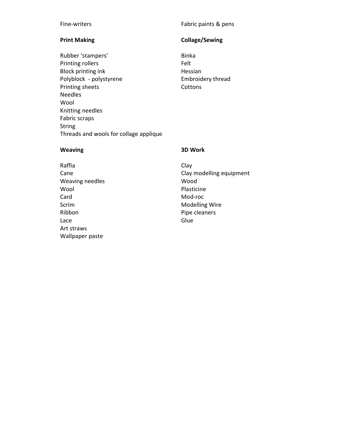Rubber 'stampers' Binka Printing rollers Felt Block printing ink and the Hessian Polyblock - polystyrene Embroidery thread Printing sheets Cottons Needles Wool Knitting needles Fabric scraps String Threads and wools for collage applique

### Fine-writers Fine-writers Fabric paints & pens

### **Print Making Collage/Sewing**

#### **Weaving 3D Work**

- Raffia Clay Weaving needles Wood Wool **Wool** Plasticine Card Mod-roc Scrim Modelling Wire Ribbon Pipe cleaners Lace **Glue** Glue Art straws Wallpaper paste
- Cane Cane Clay modelling equipment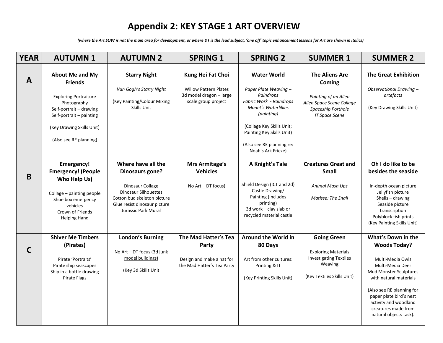## **Appendix 2: KEY STAGE 1 ART OVERVIEW**

*(where the Art SOW is not the main area for development, or where DT is the lead subject, 'one off' topic enhancement lessons for Art are shown in italics)* 

| <b>YEAR</b>  | <b>AUTUMN1</b>                                                                                                                                                                                        | <b>AUTUMN 2</b>                                                                                                                                                                       | <b>SPRING 1</b>                                                                                     | <b>SPRING 2</b>                                                                                                                                                                                                                               | <b>SUMMER 1</b>                                                                                                                     | <b>SUMMER 2</b>                                                                                                                                                                                                                                                                |
|--------------|-------------------------------------------------------------------------------------------------------------------------------------------------------------------------------------------------------|---------------------------------------------------------------------------------------------------------------------------------------------------------------------------------------|-----------------------------------------------------------------------------------------------------|-----------------------------------------------------------------------------------------------------------------------------------------------------------------------------------------------------------------------------------------------|-------------------------------------------------------------------------------------------------------------------------------------|--------------------------------------------------------------------------------------------------------------------------------------------------------------------------------------------------------------------------------------------------------------------------------|
| $\mathbf{A}$ | <b>About Me and My</b><br><b>Friends</b><br><b>Exploring Portraiture</b><br>Photography<br>Self-portrait - drawing<br>Self-portrait - painting<br>(Key Drawing Skills Unit)<br>(Also see RE planning) | <b>Starry Night</b><br>Van Gogh's Starry Night<br>(Key Painting/Colour Mixing<br>Skills Unit                                                                                          | Kung Hei Fat Choi<br><b>Willow Pattern Plates</b><br>3d model dragon - large<br>scale group project | <b>Water World</b><br>Paper Plate Weaving -<br>Raindrops<br>Fabric Work - Raindrops<br><b>Monet's Waterlillies</b><br>(painting)<br>(Collage Key Skills Unit;<br>Painting Key Skills Unit)<br>(Also see RE planning re:<br>Noah's Ark Frieze) | <b>The Aliens Are</b><br>Coming<br>Painting of an Alien<br>Alien Space Scene Collage<br>Spaceship Porthole<br><b>IT Space Scene</b> | <b>The Great Exhibition</b><br>Observational Drawing -<br>artefacts<br>(Key Drawing Skills Unit)                                                                                                                                                                               |
| B            | <b>Emergency!</b><br><b>Emergency!</b> (People<br>Who Help Us)<br>Collage - painting people<br>Shoe box emergency<br>vehicles<br>Crown of Friends<br><b>Helping Hand</b>                              | Where have all the<br><b>Dinosaurs gone?</b><br>Dinosaur Collage<br><b>Dinosaur Silhouettes</b><br>Cotton bud skeleton picture<br>Glue resist dinosaur picture<br>Jurassic Park Mural | Mrs Armitage's<br><b>Vehicles</b><br>No Art - DT focus)                                             | A Knight's Tale<br>Shield Design (ICT and 2d)<br>Castle Drawing/<br>Painting (includes<br>printing)<br>3d work - clay slab or<br>recycled material castle                                                                                     | <b>Creatures Great and</b><br><b>Small</b><br><b>Animal Mash Ups</b><br><b>Matisse: The Snail</b>                                   | Oh I do like to be<br>besides the seaside<br>In-depth ocean picture<br>Jellyfish picture<br>Shells $-$ drawing<br>Seaside picture<br>transcription<br>Polyblock fish prints<br>(Key Painting Skills Unit)                                                                      |
| C            | <b>Shiver Me Timbers</b><br>(Pirates)<br>Pirate 'Portraits'<br>Pirate ship seascapes<br>Ship in a bottle drawing<br>Pirate Flags                                                                      | <b>London's Burning</b><br>No Art - DT focus (3d junk<br>model buildings)<br>(Key 3d Skills Unit                                                                                      | The Mad Hatter's Tea<br>Party<br>Design and make a hat for<br>the Mad Hatter's Tea Party            | Around the World in<br>80 Days<br>Art from other cultures:<br>Printing & IT<br>(Key Printing Skills Unit)                                                                                                                                     | <b>Going Green</b><br><b>Exploring Materials</b><br><b>Investigating Textiles</b><br>Weaving<br>(Key Textiles Skills Unit)          | What's Down in the<br><b>Woods Today?</b><br>Multi-Media Owls<br>Multi-Media Deer<br><b>Mud Monster Sculptures</b><br>with natural materials<br>(Also see RE planning for<br>paper plate bird's nest<br>activity and woodland<br>creatures made from<br>natural objects task). |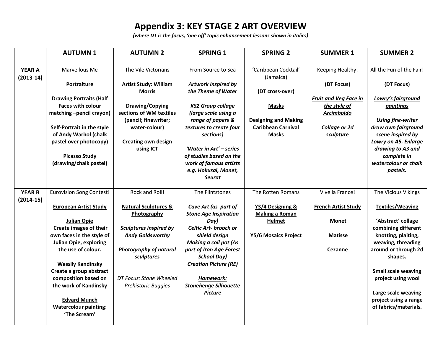## **Appendix 3: KEY STAGE 2 ART OVERVIEW**

*(where DT is the focus, 'one off' topic enhancement lessons shown in italics)* 

|               | <b>AUTUMN1</b>                                      | <b>AUTUMN 2</b>                             | <b>SPRING 1</b>                               | <b>SPRING 2</b>                                          | <b>SUMMER 1</b>              | <b>SUMMER 2</b>                          |
|---------------|-----------------------------------------------------|---------------------------------------------|-----------------------------------------------|----------------------------------------------------------|------------------------------|------------------------------------------|
|               |                                                     |                                             |                                               |                                                          |                              |                                          |
| <b>YEAR A</b> | Marvellous Me                                       | The Vile Victorians                         | From Source to Sea                            | 'Caribbean Cocktail'                                     | Keeping Healthy!             | All the Fun of the Fair!                 |
| $(2013-14)$   |                                                     |                                             |                                               | (Jamaica)                                                |                              |                                          |
|               | <b>Portraiture</b>                                  | <b>Artist Study: William</b>                | <b>Artwork Inspired by</b>                    |                                                          | (DT Focus)                   | (DT Focus)                               |
|               |                                                     | <b>Morris</b>                               | the Theme of Water                            | (DT cross-over)                                          |                              |                                          |
|               | <b>Drawing Portraits (Half</b>                      |                                             |                                               |                                                          | <b>Fruit and Veg Face in</b> | Lowry's fairground                       |
|               | <b>Faces with colour</b>                            | Drawing/Copying                             | <b>KS2 Group collage</b>                      | <b>Masks</b>                                             | the style of                 | paintings                                |
|               | matching -pencil crayon)                            | sections of WM textiles                     | (large scale using a                          |                                                          | <b>Arcimboldo</b>            |                                          |
|               |                                                     | (pencil; finewriter;                        | range of papers &                             | <b>Designing and Making</b><br><b>Caribbean Carnival</b> |                              | <b>Using fine-writer</b>                 |
|               | Self-Portrait in the style<br>of Andy Warhol (chalk | water-colour)                               | textures to create four<br>sections)          | <b>Masks</b>                                             | Collage or 2d<br>sculpture   | draw own fairground<br>scene inspired by |
|               | pastel over photocopy)                              | <b>Creating own design</b>                  |                                               |                                                          |                              | Lowry on A5. Enlarge                     |
|               |                                                     | using ICT                                   | 'Water in Art' - series                       |                                                          |                              | drawing to A3 and                        |
|               | <b>Picasso Study</b>                                |                                             | of studies based on the                       |                                                          |                              | complete in                              |
|               | (drawing/chalk pastel)                              |                                             | work of famous artists                        |                                                          |                              | watercolour or chalk                     |
|               |                                                     |                                             | e.g. Hokusai, Monet,                          |                                                          |                              | pastels.                                 |
|               |                                                     |                                             | <b>Seurat</b>                                 |                                                          |                              |                                          |
|               |                                                     |                                             |                                               |                                                          |                              |                                          |
| <b>YEAR B</b> | <b>Eurovision Song Contest!</b>                     | Rock and Roll!                              | The Flintstones                               | The Rotten Romans                                        | Vive la France!              | The Vicious Vikings                      |
| $(2014-15)$   |                                                     |                                             |                                               |                                                          |                              |                                          |
|               | <b>European Artist Study</b>                        | <b>Natural Sculptures &amp;</b>             | Cave Art (as part of                          | Y3/4 Designing &                                         | <b>French Artist Study</b>   | <b>Textiles/Weaving</b>                  |
|               |                                                     | Photography                                 | <b>Stone Age Inspiration</b>                  | <b>Making a Roman</b>                                    |                              |                                          |
|               | <b>Julian Opie</b>                                  |                                             | Day)                                          | <b>Helmet</b>                                            | <b>Monet</b>                 | 'Abstract' collage                       |
|               | Create images of their                              | <b>Sculptures inspired by</b>               | Celtic Art- brooch or                         |                                                          |                              | combining different                      |
|               | own faces in the style of                           | <b>Andy Goldsworthy</b>                     | shield design                                 | Y5/6 Mosaics Project                                     | <b>Matisse</b>               | knotting, plaiting,                      |
|               | <b>Julian Opie, exploring</b>                       |                                             | <b>Making a coil pot (As</b>                  |                                                          |                              | weaving, threading                       |
|               | the use of colour.                                  | <b>Photography of natural</b><br>sculptures | part of Iron Age Forest<br><b>School Day)</b> |                                                          | Cezanne                      | around or through 2d<br>shapes.          |
|               | <b>Wassily Kandinsky</b>                            |                                             | <b>Creation Picture (RE)</b>                  |                                                          |                              |                                          |
|               | Create a group abstract                             |                                             |                                               |                                                          |                              | <b>Small scale weaving</b>               |
|               | composition based on                                | DT Focus: Stone Wheeled                     | Homework:                                     |                                                          |                              | project using wool                       |
|               | the work of Kandinsky                               | Prehistoric Buggies                         | <b>Stonehenge Silhouette</b>                  |                                                          |                              |                                          |
|               |                                                     |                                             | <b>Picture</b>                                |                                                          |                              | Large scale weaving                      |
|               | <b>Edvard Munch</b>                                 |                                             |                                               |                                                          |                              | project using a range                    |
|               | <b>Watercolour painting:</b>                        |                                             |                                               |                                                          |                              | of fabrics/materials.                    |
|               | 'The Scream'                                        |                                             |                                               |                                                          |                              |                                          |
|               |                                                     |                                             |                                               |                                                          |                              |                                          |